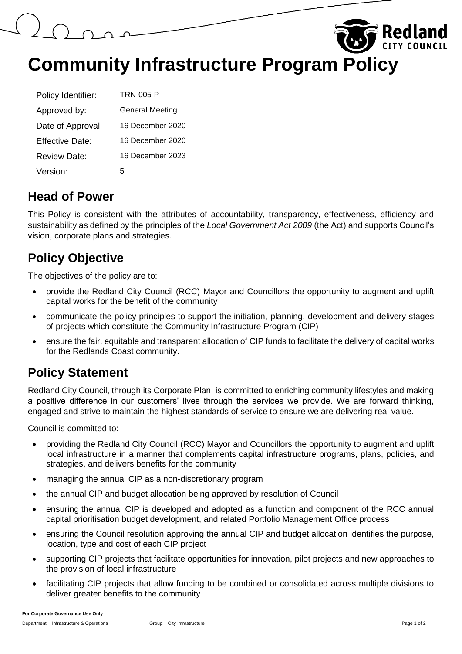

| Policy Identifier: | TRN-005-P        |
|--------------------|------------------|
| Approved by:       | General Meeting  |
| Date of Approval:  | 16 December 2020 |
| Effective Date:    | 16 December 2020 |
| Review Date:       | 16 December 2023 |
| Version:           | 5                |

#### **Head of Power**

This Policy is consistent with the attributes of accountability, transparency, effectiveness, efficiency and sustainability as defined by the principles of the *Local Government Act 2009* (the Act) and supports Council's vision, corporate plans and strategies.

## **Policy Objective**

The objectives of the policy are to:

- provide the Redland City Council (RCC) Mayor and Councillors the opportunity to augment and uplift capital works for the benefit of the community
- communicate the policy principles to support the initiation, planning, development and delivery stages of projects which constitute the Community Infrastructure Program (CIP)
- ensure the fair, equitable and transparent allocation of CIP funds to facilitate the delivery of capital works for the Redlands Coast community.

## **Policy Statement**

Redland City Council, through its Corporate Plan, is committed to enriching community lifestyles and making a positive difference in our customers' lives through the services we provide. We are forward thinking, engaged and strive to maintain the highest standards of service to ensure we are delivering real value.

Council is committed to:

- providing the Redland City Council (RCC) Mayor and Councillors the opportunity to augment and uplift local infrastructure in a manner that complements capital infrastructure programs, plans, policies, and strategies, and delivers benefits for the community
- managing the annual CIP as a non-discretionary program
- the annual CIP and budget allocation being approved by resolution of Council
- ensuring the annual CIP is developed and adopted as a function and component of the RCC annual capital prioritisation budget development, and related Portfolio Management Office process
- ensuring the Council resolution approving the annual CIP and budget allocation identifies the purpose, location, type and cost of each CIP project
- supporting CIP projects that facilitate opportunities for innovation, pilot projects and new approaches to the provision of local infrastructure
- facilitating CIP projects that allow funding to be combined or consolidated across multiple divisions to deliver greater benefits to the community